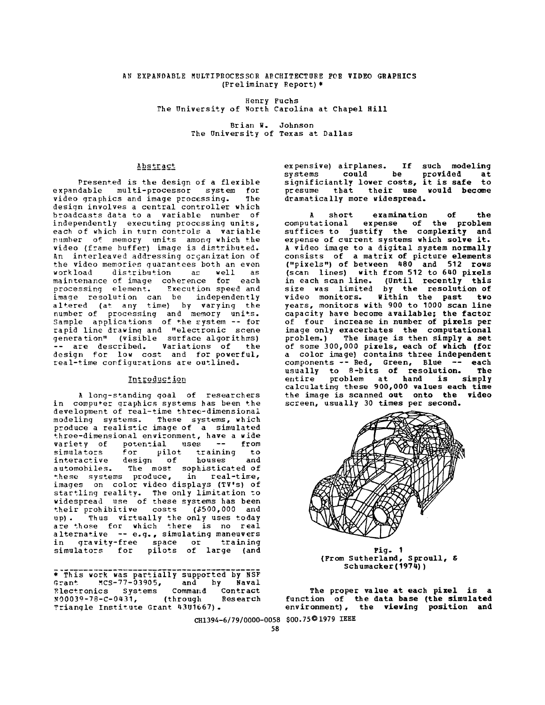### AN EXPANDABLE ~ULTIPROCESSOR ARCHITECTURE FOR **VIDEO GRAPHICS**  (Preliminary Report)\*

Henry Fuchs The University of North Carolina at Chapel Hill

> Brian W. Johnson The University of Texas at Dallas

# Abstract

Presented is the design of a flexible expandable multi-processor system for<br>video-graphics-and-image-processing. The video graphics and image processing. design involves a central controller which broadcasts data to a variable number of independently executing processing units, each of which in turn controls a variable number of memory units among-which-thevideo (frame buffer) image is distributed. An interleaved addressing organization of the video memories quarantees both an even<br>workload distribution as well as distribution as well as maintenance of image coherence for each processing element. Execution speed and image resolution can be independently altered (at any time) by varying the number of processing and memory units. Sample applications of the system -- for rapid line drawing and "electronic scene generation" (visible surface algorithms) -- are described. Variations of the design for low cost and for powerful, real-time configurations are outlined.

### Introduction

A long-standing goal of researchers in compu+er graphics systems has been the development of real-time three-dimensional modeling systems. These systems, which produce a realistic image of a simulated three-dimensional environment, have a wide variety of potential uses -- from simulators for pilot training to<br>interactive design of houses and interactive design of houses and automobiles. The most sophisticated of these systems produce, in real-time, images on color video displays (TV's) of startling reality. The only limitation to widespread use of these systems has been their prohibitive costs (\$500,000 and up). Thus virtually the only uses today are those for which there is no real alternative -- e.g., simulating maneuvers in gravity-free space or training simulators for pilots of large (and

This work was partially supported by NSF Grant ~CS-77-03905, and by Naval ~lectronics Systems Command Contract N00039-78-C-0431, (through Research Triangle Institute Grant 43U1667).

expensive) airplanes. If such **modeling**  systems could be **provided at**  significiantly lower costs, it is safe to presume that **their use would become**  dramatically more **widespread.** 

A short examination of **the**  computational expense of the **problem**  suffices to justify the complexity **and**  expense of current systems which **solve it.**  A video image to a digital system normally consists of a matrix of **picture elements**  ("pixels") of between 480 and 512 rows (scan lines) with from 512 to 640 pixels in each scan line. (Until **recently this**  size was limited by the resolution **of**  video monitors. Within **the past** two years, monitors with 900 to 1000 scan line capacity have become available; **the factor**  of four increase in number of **pixels per**  image only **exacerbates the computational**  problem.) The image is then simply a **set**  of some 300,000 pixels, each of which (for a color image} contains three **independent**  components -- Red, Green, Blue -- **each**  usually to 8-bits of resolution. The entire problem at hand **is simply**  calculating these 900,000 values **each time**  the image is scanned out **onto the video**  screen, usually 30 **times per second.** 



(From Sutherland, S proull, 8 Schumacker(1974))

**The proper value at each pixel is a**  *function* **of the data base (the simulated environment} , the viewing position and** 

CH1394-6/79/0000-0058 \$00.7501979 **IEEE**  58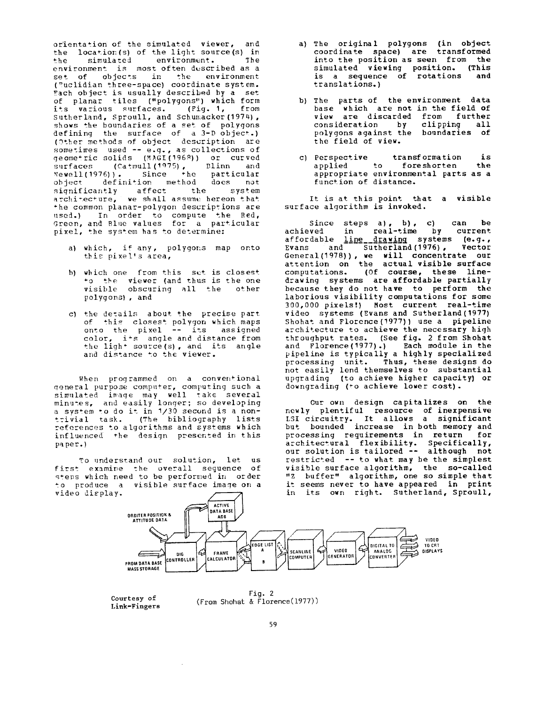orientation of the simulated viewer, and the location(s) of the light source(s) in<br>the simulated environment. The the simulated environment. environment is most often described as a set of objects in the environment (~uclidian three-space) coordinate system. Each object is usually described by a set of planar tiles ("polygons") which form<br>its various surfaces. (Fig. 1, from its various surfaces. Sutherland, Sproull, and Schumacker (1974), shows the boundaries of a set of polygons defining the surface of a 3-D object.) (Other methods of object description are sometimes used -- e.g., as collections of geometric solids (MAGI(1968)) or curved surfaces (Catmull (1075) , Blinn and ~ewell(1976)) . Since \*he particular object definition method does not<br>significantly affect the system significantly affect the architecture, we shall assume hereon that ~he common planar-polygon descriptions are used.) In order to compute the Red, Green, and Blue values for a particular pixel, the system has to determine:

- a) which, if any, polygons map onto this pixel's area,
- b) which one from this set is closest ~o the viewer (and thus is the one visible obscuring all the other polygons) , and
- c) the details about the precise part of this closest polygon which maps onto the pixel -- its assigned color, i~s angle and distance from the ligh<sup>+</sup> source(s), and its angle and distance to the viewer.

When programmed on a conventional qeneral purpose computer, computing such a simulated image may well take several minutes, and easily longer; so developing a system to do it in 1/30 second is a nontrivial task. (The bibliography lists references to algorithms and systems which influenced the design presented in this pa per. )

To understand our solution, let us first examine the overall sequence of steps which need to be performed in order to produce a visible surface image on a video display.

- a) The original polygons (in object coordinate space) are transformed into the position as seen from the simulated viewing position. (This is a sequence of rotations and translations.)
- b) The parts of the environment data base which are not in the field of view are discarded from further consideration by clipping all polygons against the boundaries of the field of view.
- c) Perspective transformation is foreshorten the appropriate environmental parts as a function of distance.

It is at this point that a visible surface algorithm is invoked.

Since steps a), b), c) can be achieved in real-time by current affordable <u>line drawing</u> systems (e.g., Evans and Sutherland(1976), Vector General(1978)) , we will concentrate our attention on the actual visible surface computations. (Of course, these linedrawing systems are affordable partially because they do not have to perform the laborious visibility computations for some 300,000 pixels :) Most current real-time video systems (Evans and Sutherland(1977) Shohat and Florence(1977)) use a pipeline architecture to achieve the necessary high throughput rates. (See fig. 2 from Shohat and Florence(1977).) Each module in the pipeline is typically a highly specialized processing unit. Thus, these designs do no% easily lend themselves to substantial upgrading (to achieve higher capacity) or downgrading (+o achieve lower cost).

Our own design capitalizes on the newly plentiful resource of inexpensive I.Sl circuitry. It allows a significant but bounded increase in-both memory and processing requirements in return for architectural flexibility. Specifically, our solution is tailored -- although not restricted -- to what may be the simplest visible surface algorithm, the so-called "Z buffer" algorithm, one so simple that it seems never to have appeared in print in its own right. Sutherland, Sproull,



Courtesy of Link-Fingers

 $\alpha$ 

Fig. 2 (From Shohat & Florence(1977))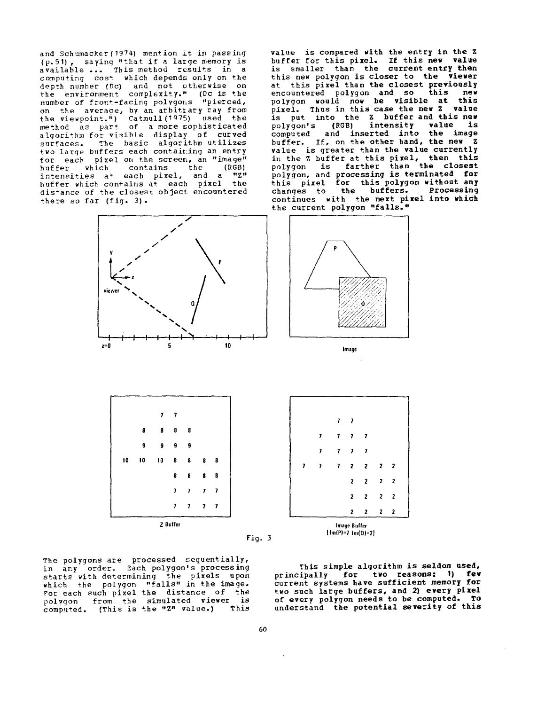and Schumacker(1974) mention it in passing  $(p.51)$ , saying "that if a large memory is available ... This method results in a computing cost which depends only on ~he depth number (Dc) and not otherwise on the environment complexity." (Dc is the number of front-facing polygons "pierced, on the average, by an arbitrary ray from the viewpoint.") Catmull (Ig75) used the method as part of a more sophisticated algorithm for visible display of curved surfaces. The basic algorithm utilizes two large buffers each containing an entry for each pixel on the screen, an "image" buffer which contains the (RGB) intensities at each pixel, and a "Z" buffer which con+ains at each pixel the distance of the closest object encountered there so far (fig. 3).

value is compared with the entry in the Z buffer for this pixel. If this new **value**  is smaller than the current entry then this new polygon is closer to the viewer at this pixel than the closest previously encountered polygon and so this new polygon would now be visible at this pixel. Thus in this case the new Z value is put into the Z buffer and this new polygon's (RGB) intensity value is computed and inserted into the **image**  buffer. If, on the other hand, the new Z value is greater than the value currently in the Z buffer at this pixel, then this polygon is farther than the closest polygon, and processing is terminated **for**  this pixel for this polygon without any changes to the buffers. Processing continues with the next pixel into which the current polygon "falls."



Fig. 5

This simple algorithm is seldom used, principally for two **reasons: I) few**  current systems have *sufficient* memory **for**  two such large buffers, and 2} every pixel of every polygon needs to be *computed.* To understand the potential severity of this

The polygons are processed sequentially, in any order. Each polygon's processing starts with determining the pixels upon which the polygon "falls" in the image. For each such pixel the distance of the polygon from the simulated viewer is computed. (This is the "Z" value.) This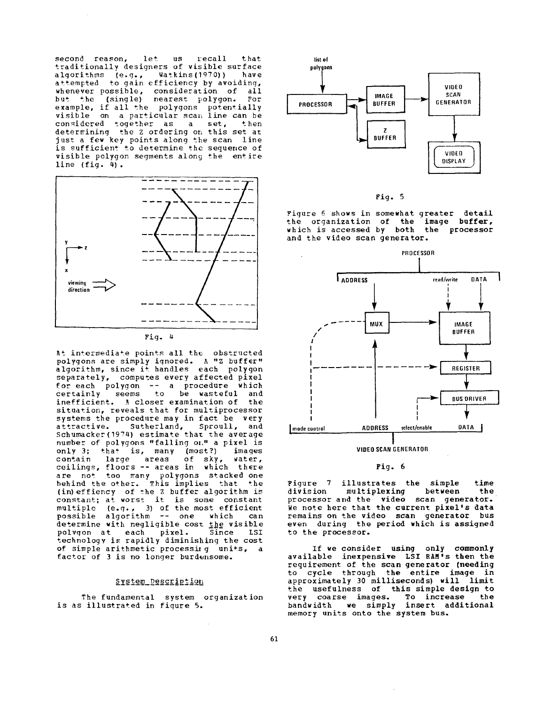second reason, let us recall that traditionally designers of visible surface algorithms (e.g., watkins (1970)) have attempted to gain efficiency by avoiding, whenever possible, consideration of all<br>but the (single) nearest polygon. For  $(single)$  nearest polygon. example, if all the polygons potentially visible on a particular scan line can be considered together as a set, then determining the Z ordering on this set at just a few key points along the scan line is sufficient to determine the sequence of visible polygon segments along the entire line (fig. 4).



Fig. 4

At intermediate points all the obstructed polygons are simply ignored. A "Z buffer" algorithm, since it handles each polygon separately, computes every affected pixel for each polygon -- a procedure which certainly seems to be wasteful and inefficient. A closer examination of the situation, reveals that for multiprocessor systems the procedure may in fact be very<br>attractive. Sutherland. Sproull. and sutherland, Sproull, and Schumacker(1974) estimate that the average number of polygons "falling on" a pixel is only 3; that is, many (most?) images contain large areas of sky, water, ceilings, floors -- areas in which there are not too  ${}_{\text{many}}$  polygons stacked-onebehind the other. This implies that the (in) effiency of :he Z buffer algorithm is constant; at worst it is some constant multiple (e.g., 3) of the most efficient possible algorithm -- one which can determine with negligible cost the visible polygon at each pixel. Since LSI technology is rapidly diminishing the cost of simple arithmetic processing units, a factor of 3 is no longer burdensome.

### System Description

The fundamental system organization is as illustrated in figure 5.



Fig. 5

Figure 6 shows in somewhat greater detail the organization of the image buffer, which is accessed by both the processor and the video scan generator.



#### Fig. 6

Figure 7 illustrates the simple time<br>division multiplexing between the division multiplexing between the processor and the video scan generator. We note here that the current pixel's data remains on the video scan generator bus even during the period which is **assigned**  to the processor.

If we consider using only **commonly**  available inexpensive LSI RAM's then the requirement of the scan **generator (needing**  to cycle through the entire image in approximately 30 milliseconds) will limit the usefulness of this simple design to<br>very coarse images. To increase the very coarse images. **To increase** the bandwidth we simply insert additional memory units onto the system bus.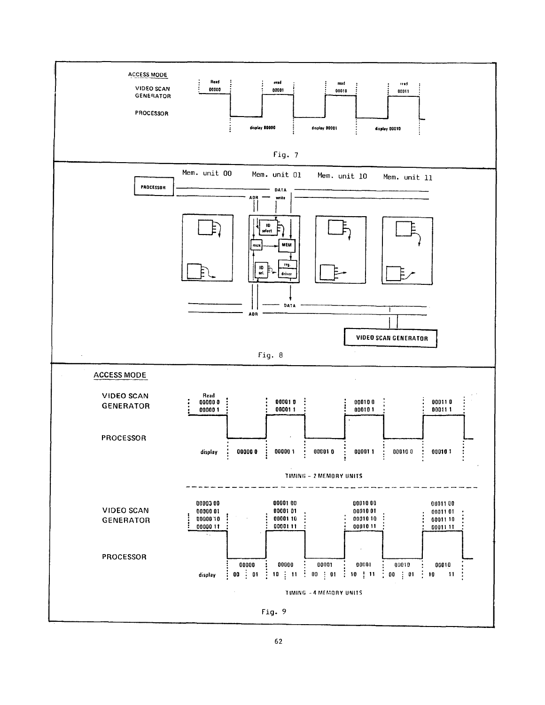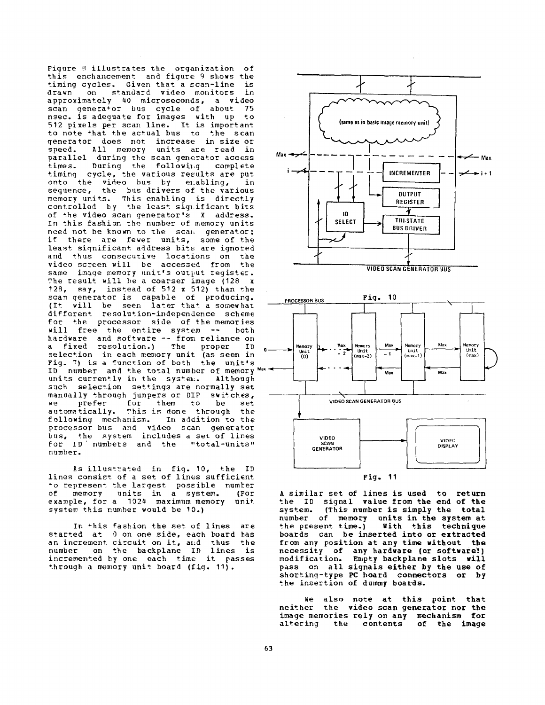Figure 8 illustrates the organization of this enchancement and figure 9 shows the timing cycles. Given that a scan-line is on standard video monitors in approximately 40 microseconds, a video scan genera+or bus cycle of about 75 nsec. is adequate for images with up to 512 pixels per scan line. It is important to note that the actual bus to the scan generator does not increase in size or speed. All memory units are read in parallel during the scan generator access times. During the following complete timing cvcle, the various results are put onto the video bus by enabling, in sequence, the bus drivers of the various memory units. This enabling is directly controlled by the least significant bits of the video scan generator's X address. In this fashion the number of memory units need not be known to the scan generator; if there are fewer units, some of the least significant address bits are ignored and +bus consecutive locations on the video screen will be accessed from the same image memory unit's output register. The result will be a coarser image (128 x 128, say, instead of 512 x 512) than the scan generator is capable of producing. (It will be seen later that a somewhat different resolution-independence scheme<br>for the processor side of the memories hardware and software -- from reliance on a fixed resolution.) The proper ID  $_{0}$  Memory  $_{1}$ , Max Memory  $_{1}$  Max Memory  $_{1}$  Max Memory  $_{1}$  Max Hemory  $_{1}$  Max  $_{1}$  Max  $_{1}$  Max  $_{1}$  Max  $_{1}$  Max  $_{1}$  Max  $_{1}$  Max  $_{1}$  Max  $_{1}$  Max  $_{1}$  Max  $_{1}$ Fig.  $7$ ) is a function of both the unit's ID number and the total number of memory  $\mathsf{Max} \leftarrow \leftarrow$   $\leftarrow$   $\leftarrow$   $\leftarrow$   $\leftarrow$   $\leftarrow$   $\leftarrow$   $\leftarrow$   $\leftarrow$   $\leftarrow$   $\leftarrow$   $\leftarrow$   $\leftarrow$   $\leftarrow$   $\leftarrow$   $\leftarrow$   $\leftarrow$   $\leftarrow$   $\leftarrow$   $\leftarrow$   $\leftarrow$   $\leftarrow$   $\leftarrow$   $\leftarrow$   $\leftarrow$   $\leftarrow$   $\leftarrow$   $\leftarrow$   $\$ units currently in the system. Although such selection settings are normally set manually through jumpers or DIP switches,  $\frac{1}{100}$  witch  $\frac{1}{100}$  witch  $\frac{1}{100}$  witch  $\frac{1}{100}$  witch  $\frac{1}{100}$  witch  $\frac{1}{100}$  witch  $\frac{1}{100}$  witch  $\frac{1}{100}$  witch  $\frac{1}{100}$  witch  $\frac{1}{100}$  witch we prefer for them to be set automatically. This is done through the<br>following mechanism. In addition to the following mechanism. processor bus and video scan generator bus, the system includes a set of lines for ID numbers and the "total-units" number.

As illustrated in fig. 10, the ID lines consist of a set of lines sufficient to represent the largest possible number of memory units in a system. (For example, for a 1024 maximum memory unit system this number would be 10.)

In this fashion the set of lines are started at 0 on one side, each board has an increment circuit on it, and thus the number on the backplane ID lines is incremented hy one each time it passes through a memory unit board (fig. 11).



A similar set of lines is **used to return**  the ID signal value **from the end of the**  system. (This number is simply **the total**  number of memory units in **the system** at *the* present time.) With this **technique**  boards can be inserted into **or extracted**  from any position at any **time without the**  necessity of any **hardware (or software:}**  modification. Empty backplane slots will pass on all **signals either by the use of**  shorting-type PC **board connectors or** by the insertion of dummy **boards.** 

**we also note at this point that neither the video scan generator nor the**  image memories rely on any mechanism for **altering the contents of the image**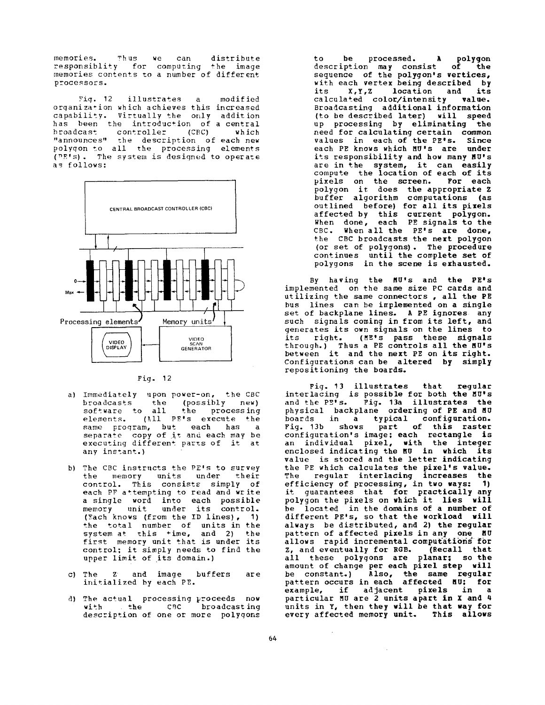memories. Th us we can distribute responsiblity for computing the image memories contents to a number of different processors.

Fig. 12 illustrates a modified organization which achieves this increased capability, virtually the only addition has been the introduction of a central<br>broadcast controller (CBC) which controller (CBC) which "announces" the description of each new polygon to all the processing elements (PE's). The system is designed to operate as follows:



Fig. 12

- a) Immediately upon power-on, the CBC broadcasts the (possibly new) software to all the processing elements. (All PE's execute the same proqram, but each has a separate copy of it and each may be executing different parts of it at any instant.)
- b) The CBC instructs the DE's to survey the memory units under their control. This consists simply of each PF attempting to read and write a single word into each possible memory unit under its control. (~ach knows (from the ID lines), I) the total number of units in the system at this ÷ime, and 2) the first memory unit that is under its control: it simply needs to find the upper limit of its domain.)
- c) The Z and image buffers are initialized by each PE.
- d} The actual processing proceeds now with the CBC broadcasting description of one or more polygons

to be processed. A polygon description may consist of the sequence of the polygon's vertices, with each vertex being described by its X,Y,Z location and its calculated color/intensity value. Broadcasting additional information (to be described later) will speed up processing by eliminating the need for calculating certain common values in each of the 9E's. Since each PE knows which MU's are under its responsibility and how many MU's are in the system, it can easily compute the location of each of its pixels on the screen. For each polygon it does the appropriate Z buffer algorithm computations (as outlined before) for all its pixels affected by this current polygon. When done, each PE signals to the CBC. When all the PE's are done, the CBC broadcasts the next polygon (or set of polygons). The procedure continues until the complete set of polygons in the scene is exhausted.

By having the MU's and the PE's implemented on the same size PC cards and utilizing the same connectors , all the PE bus lines can be implemented on a single set of backplane lines. APE ignores any such signals coming in from its left, and generates its own signals on the lines to its right. (ME's pass these signals through.) Thus a PE controls all the MU's between it and the next PE on its right. Configurations can be altered by simply repositioning the boards.

Fig. 13 illustrates that regular interlacing is possible for both the MU's and the PE's. Fig. 13a illustrates the physical backplane ordering of PE and MU boards in a typical configuration. Fig. 13b shows part of this raster configuration's image; each rectangle is an individual pixel, with the integer enclosed indicating the MU in which its value is stored and the letter indicating the PE which calculates the pixel's value. The regular interlacing increases the efficiency of processing, in two ways: I) it guarantees that for practically any polygon the pixels on which it lies will be located in the domains of a number of different PE's, so that the workload will always be distributed, and 2) the regular pattern of affected pixels in any one MU allows rapid incremental computations for z, and eventually for RGB. (Recall **that**  all these polygons are planar; so the amount of change per each pixel step will be constant.) Also, the same regular pattern occurs in each affected MU; for example, if adjacent pixels in a particular MU are 2 units apart in X and 4 units in Y, then they will be that way for every affected memory unit. This allows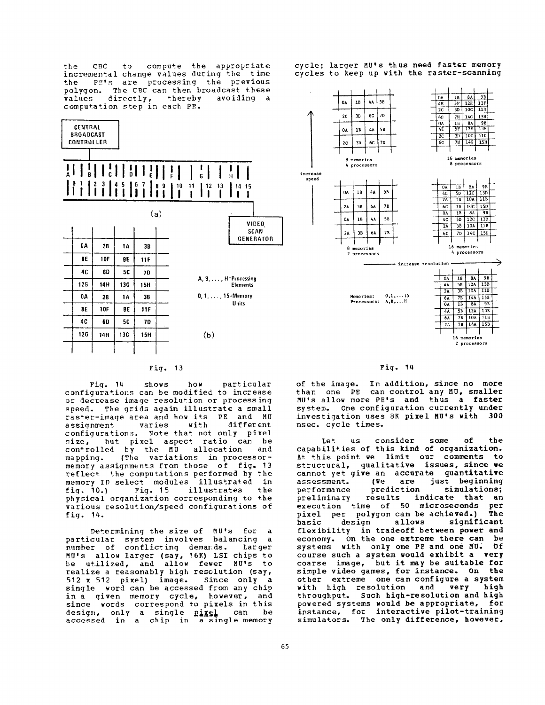the CBC to compute the appropriate incremental change values during the time the PE's are processing the previous polygon. The *CBC* can then broadcast these values directly, thereby computation step in each PF.

cycle: larger RU's thus need faster memory cycles to keep up with the raster-scanning



### Fig. 13

Fig. 14 shows how particular configurations can be modified to increase or decrease image resolution or processing speed. The grids again illustrate a small raster-image area and how its PE and MU assignment varies with different configurations. Note that not only pixel size, but pixel aspect ratio can be con~rolled by the MU allocation and mapping. (The variations in processormemory assignments from those of fig. 13 reflect the computations performed by the memory ID select modules illustrated in fig. 10.) Fig. 15 illustrates the physical organization corresponding to the various resolution/speed configurations of fig. 14.

Determining the size of MU's for a particular system involves balancing a number of conflicting demands. Larger MU's allow larger (say, 16K) LSI chips to he utilized, and allow fewer MU's to realize a reasonably high resolution (say, 512 x 512 pixel) image. Since only a single word can be accessed from any chip in a given memory cycle, however, and since words correspond to pixels in this design, only a single <u>pixel</u> can be accessed in a chip in a single memory

### Fig. 14

>

of the image. In addition, since no more than one PE can control any MU, smaller MU's allow more PE's and thus a faster system. One configuration currently under investigation uses 8K pixel MU's with **300**  nsec. cycle times.

Let us consider some of the capabilities of this kind of organization. At this point we limit our comments to structural, qualitative issues, since we cannot yet give an accurate quantitative assessment. (We are just beginning<br>performance prediction simulations; performance prediction<br>preliminary results in results indicate that an execution time of 50 microseconds **per**  pixel per polygon can be achieved.) The basic design allows significant flexibility in tradeoff between power and economy. On the one extreme there *can* be systems with only one PE and one MU. Of course such a system would exhibit a very coarse image, but it may be suitable **for**  simple video games, for instance. On the other extreme one can configure a system with high resolution and very high throughput. Such high-resolution and high powered systems would be appropriate, for instance, for interactive pilot-training simulators. The only difference, however,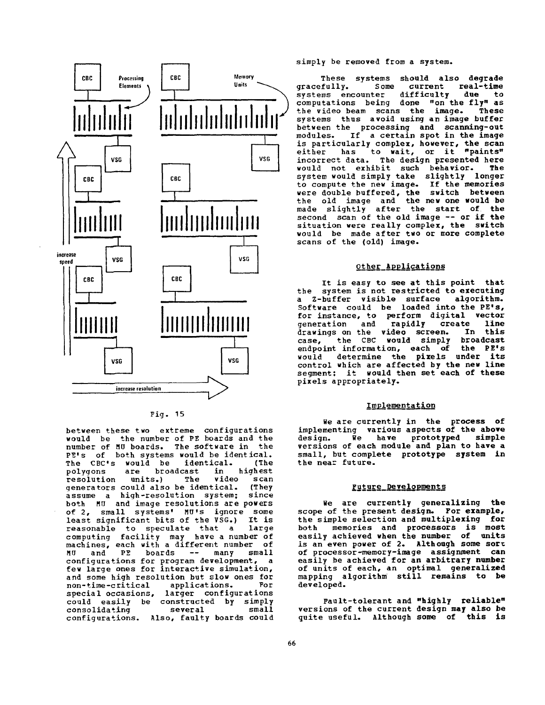

Fig. 15

between these two extreme configurations would be the number of PE boards and the number of  $MU$  boards. The software in the PE's of both systems would be identical. The CBC's would be identical. (The polygons are broadcast in highest **resolution units.) The video scan<br>generators could also be identical. (They** generators could also be identical. assume a high-resolution system: since both BU and image resolutions are powers of 2, small systems' MU's ignore some least significant bits of the VSG.) It is<br>reasonable to speculate that a large reasonable to speculate that a computing facility may have a number of machines, each with a different number of MU and PE boards -- many small configurations for program development, a few large ones for interactive simulation, and some high resolution but slow ones for<br>non-time-critical applications. For non-time-critical applications. For special occasions, larger configurations could easily be constructed by simply<br>consolidating several small consolidating configurations. Also, faulty boards could

simply be removed from a system.

Memory<br>Units These systems should also degrade<br>Units Teal-time corrent real-time **urrent real-time**<br>*fficulty* due to systems encounter difficulty due to<br>computations being done "on the fly" as the video beam scans the image. These systems thus avoid using an image buffer between the processing and *scanning-out*  modules. If a certain spot in the image is particularly complex, however, the scan either has to wait, or it "paints" incorrect data. The design presented here<br>yould not exhibit such behavior. The would not exhibit such behavior. system would simply take slightly longer to compute the new image. If the memories were double buffered, the switch between the old image and the new one would be made slightly after the start of the second scan of the old image -- or if the situation were really complex, the switch would be made after two or more complete scans of the (old) image.

## Other Applications

**lllllillllllIIiill**  drawings on the video screen. In this It is easy to see at this point that the system is not restricted to executing a Z-buffer visible surface algorithm. Software could be loaded into the PE's, for instance, to perform digital vector generation and rapidly create line<br>drawings.on.the video screen, In this case, the CBC would simply broadcast endpoint information, each of the PE's would determine the pixels under its control which are affected by the new line segment: it would then set each of these pixels appropriately.

# Implementation

We are currently in the process of implementing various aspects of the **above**  design. We have prototyped simple versions of each module and plan to have a small, but complete prototype system in the near future.

#### **Future Developments**

We are currently generalizing the scope of the present design. For example, the simple selection and multiplexing for both memories and processors is most easily achieved when the number of units is an even power of 2. Although some sort of *processor-memory-image* assignment can easily be achieved for an arbitrary number of units of each, an optimal generalized mapping algorithm still remains to be developed.

Fault-tolerant and "highly reliable" versions of the current design may also be quite useful. Although some of this is